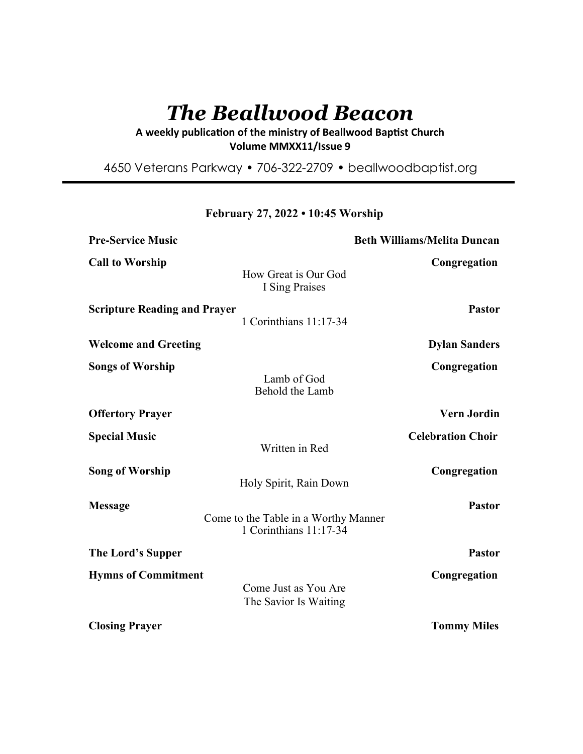# *The Beallwood Beacon*

A weekly publication of the ministry of Beallwood Baptist Church **Volume MMXX11/Issue 9** 

4650 Veterans Parkway • 706-322-2709 • beallwoodbaptist.org

| <b>Pre-Service Music</b>                                                         | <b>Beth Williams/Melita Duncan</b> |
|----------------------------------------------------------------------------------|------------------------------------|
| <b>Call to Worship</b><br>How Great is Our God<br>I Sing Praises                 | Congregation                       |
| <b>Scripture Reading and Prayer</b><br>1 Corinthians 11:17-34                    | <b>Pastor</b>                      |
| <b>Welcome and Greeting</b>                                                      | <b>Dylan Sanders</b>               |
| <b>Songs of Worship</b><br>Lamb of God<br>Behold the Lamb                        | Congregation                       |
| <b>Offertory Prayer</b>                                                          | <b>Vern Jordin</b>                 |
| <b>Special Music</b><br>Written in Red                                           | <b>Celebration Choir</b>           |
| <b>Song of Worship</b><br>Holy Spirit, Rain Down                                 | Congregation                       |
| <b>Message</b><br>Come to the Table in a Worthy Manner<br>1 Corinthians 11:17-34 | <b>Pastor</b>                      |
| The Lord's Supper                                                                | <b>Pastor</b>                      |
| <b>Hymns of Commitment</b><br>Come Just as You Are<br>The Savior Is Waiting      | Congregation                       |
| <b>Closing Prayer</b>                                                            | <b>Tommy Miles</b>                 |

**February 27, 2022 • 10:45 Worship**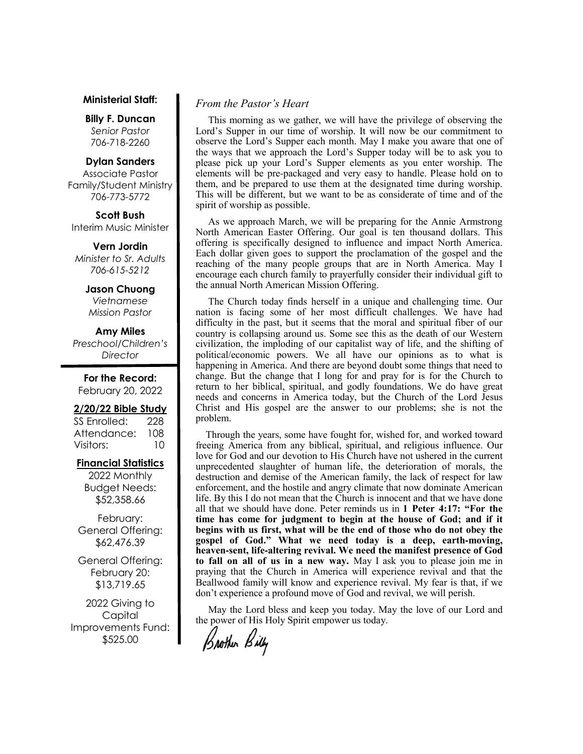### **Ministerial Staff:**

**Billy F. Duncan** *Senior Pastor*  706-718-2260

### **Dylan Sanders**

Associate Pastor Family/Student Ministry 706-773-5772

### **Scott Bush**

Interim Music Minister

**Vern Jordin** *Minister to Sr. Adults 706-615-5212* 

### **Jason Chuong**

*Vietnamese Mission Pastor* 

### **Amy Miles**

*Preschool/Children's Director* 

**For the Record:**  February 20, 2022

#### **2/20/22 Bible Study**

| SS Enrolled: | 228 |
|--------------|-----|
| Attendance:  | 108 |
| Visitors:    | 10  |

### **Financial Statistics**

2022 Monthly Budget Needs: \$52,358.66

February: General Offering: \$62,476.39

General Offering: February 20: \$13,719.65

2022 Giving to Capital Improvements Fund: \$525.00

### *From the Pastor's Heart*

 This morning as we gather, we will have the privilege of observing the Lord's Supper in our time of worship. It will now be our commitment to observe the Lord's Supper each month. May I make you aware that one of the ways that we approach the Lord's Supper today will be to ask you to please pick up your Lord's Supper elements as you enter worship. The elements will be pre-packaged and very easy to handle. Please hold on to them, and be prepared to use them at the designated time during worship. This will be different, but we want to be as considerate of time and of the spirit of worship as possible.

 As we approach March, we will be preparing for the Annie Armstrong North American Easter Offering. Our goal is ten thousand dollars. This offering is specifically designed to influence and impact North America. Each dollar given goes to support the proclamation of the gospel and the reaching of the many people groups that are in North America. May I encourage each church family to prayerfully consider their individual gift to the annual North American Mission Offering.

 The Church today finds herself in a unique and challenging time. Our nation is facing some of her most difficult challenges. We have had difficulty in the past, but it seems that the moral and spiritual fiber of our country is collapsing around us. Some see this as the death of our Western civilization, the imploding of our capitalist way of life, and the shifting of political/economic powers. We all have our opinions as to what is happening in America. And there are beyond doubt some things that need to change. But the change that I long for and pray for is for the Church to return to her biblical, spiritual, and godly foundations. We do have great needs and concerns in America today, but the Church of the Lord Jesus Christ and His gospel are the answer to our problems; she is not the problem.

 Through the years, some have fought for, wished for, and worked toward freeing America from any biblical, spiritual, and religious influence. Our love for God and our devotion to His Church have not ushered in the current unprecedented slaughter of human life, the deterioration of morals, the destruction and demise of the American family, the lack of respect for law enforcement, and the hostile and angry climate that now dominate American life. By this I do not mean that the Church is innocent and that we have done all that we should have done. Peter reminds us in **1 Peter 4:17: "For the time has come for judgment to begin at the house of God; and if it begins with us first, what will be the end of those who do not obey the gospel of God." What we need today is a deep, earth-moving, heaven-sent, life-altering revival. We need the manifest presence of God to fall on all of us in a new way.** May I ask you to please join me in praying that the Church in America will experience revival and that the Beallwood family will know and experience revival. My fear is that, if we don't experience a profound move of God and revival, we will perish.

 May the Lord bless and keep you today. May the love of our Lord and the power of His Holy Spirit empower us today.

Brother Billy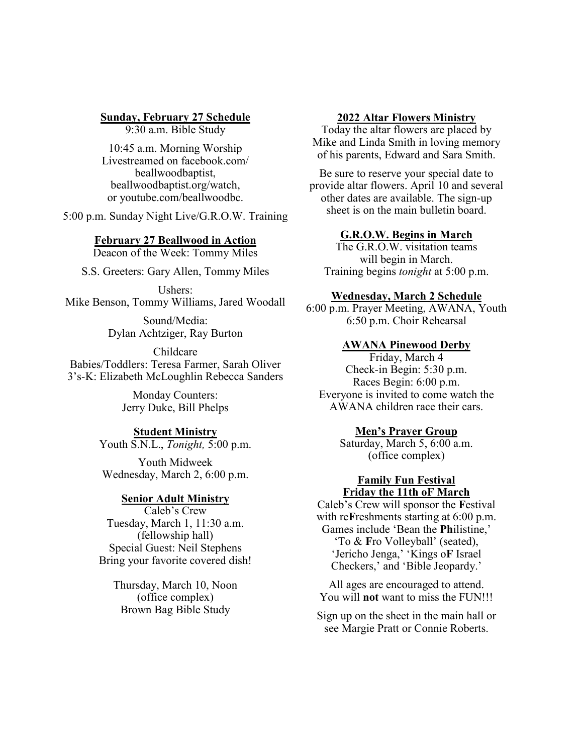# **Sunday, February 27 Schedule**

9:30 a.m. Bible Study

10:45 a.m. Morning Worship Livestreamed on facebook.com/ beallwoodbaptist, beallwoodbaptist.org/watch, or youtube.com/beallwoodbc.

5:00 p.m. Sunday Night Live/G.R.O.W. Training

# **February 27 Beallwood in Action**

Deacon of the Week: Tommy Miles

S.S. Greeters: Gary Allen, Tommy Miles

Ushers: Mike Benson, Tommy Williams, Jared Woodall

> Sound/Media: Dylan Achtziger, Ray Burton

Childcare Babies/Toddlers: Teresa Farmer, Sarah Oliver 3's-K: Elizabeth McLoughlin Rebecca Sanders

> Monday Counters: Jerry Duke, Bill Phelps

# **Student Ministry**

Youth S.N.L., *Tonight,* 5:00 p.m.

Youth Midweek Wednesday, March 2, 6:00 p.m.

# **Senior Adult Ministry**

Caleb's Crew Tuesday, March 1, 11:30 a.m. (fellowship hall) Special Guest: Neil Stephens Bring your favorite covered dish!

Thursday, March 10, Noon (office complex) Brown Bag Bible Study

### **2022 Altar Flowers Ministry**

Today the altar flowers are placed by Mike and Linda Smith in loving memory of his parents, Edward and Sara Smith.

Be sure to reserve your special date to provide altar flowers. April 10 and several other dates are available. The sign-up sheet is on the main bulletin board.

# **G.R.O.W. Begins in March**

The G.R.O.W. visitation teams will begin in March. Training begins *tonight* at 5:00 p.m.

### **Wednesday, March 2 Schedule**

6:00 p.m. Prayer Meeting, AWANA, Youth 6:50 p.m. Choir Rehearsal

# **AWANA Pinewood Derby**

Friday, March 4 Check-in Begin: 5:30 p.m. Races Begin: 6:00 p.m. Everyone is invited to come watch the AWANA children race their cars.

# **Men's Prayer Group**

Saturday, March 5, 6:00 a.m. (office complex)

### **Family Fun Festival Friday the 11th oF March**

Caleb's Crew will sponsor the **F**estival with reFreshments starting at 6:00 p.m. Games include 'Bean the **Ph**ilistine,' 'To & **F**ro Volleyball' (seated), 'Jericho Jenga,' 'Kings o**F** Israel Checkers,' and 'Bible Jeopardy.'

All ages are encouraged to attend. You will **not** want to miss the FUN!!!

Sign up on the sheet in the main hall or see Margie Pratt or Connie Roberts.